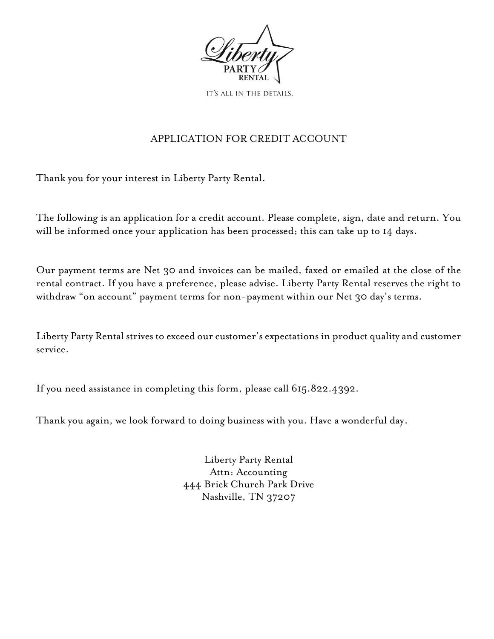

IT'S ALL IN THE DETAILS.

## APPLICATION FOR CREDIT ACCOUNT

Thank you for your interest in Liberty Party Rental.

The following is an application for a credit account. Please complete, sign, date and return. You will be informed once your application has been processed; this can take up to 14 days.

Our payment terms are Net 30 and invoices can be mailed, faxed or emailed at the close of the rental contract. If you have a preference, please advise. Liberty Party Rental reserves the right to withdraw "on account" payment terms for non-payment within our Net 30 day's terms.

Liberty Party Rental strives to exceed our customer's expectations in product quality and customer service.

If you need assistance in completing this form, please call 615.822.4392.

Thank you again, we look forward to doing business with you. Have a wonderful day.

Liberty Party Rental Attn: Accounting 444 Brick Church Park Drive Nashville, TN 37207